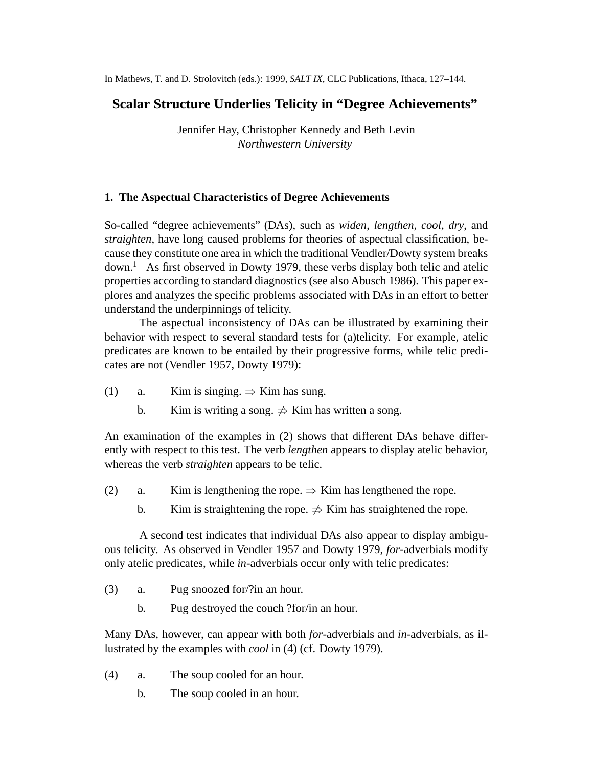In Mathews, T. and D. Strolovitch (eds.): 1999, *SALT IX*, CLC Publications, Ithaca, 127–144.

# **Scalar Structure Underlies Telicity in "Degree Achievements"**

Jennifer Hay, Christopher Kennedy and Beth Levin *Northwestern University*

# **1. The Aspectual Characteristics of Degree Achievements**

So-called "degree achievements" (DAs), such as *widen*, *lengthen*, *cool*, *dry*, and *straighten*, have long caused problems for theories of aspectual classification, because they constitute one area in which the traditional Vendler/Dowty system breaks  $down<sup>1</sup>$  As first observed in Dowty 1979, these verbs display both telic and atelic properties according to standard diagnostics (see also Abusch 1986). This paper explores and analyzes the specific problems associated with DAs in an effort to better understand the underpinnings of telicity.

The aspectual inconsistency of DAs can be illustrated by examining their behavior with respect to several standard tests for (a)telicity. For example, atelic predicates are known to be entailed by their progressive forms, while telic predicates are not (Vendler 1957, Dowty 1979):

- (1) a. Kim is singing.  $\Rightarrow$  Kim has sung.
	- b. Kim is writing a song.  $\neq$  Kim has written a song.

An examination of the examples in (2) shows that different DAs behave differently with respect to this test. The verb *lengthen* appears to display atelic behavior, whereas the verb *straighten* appears to be telic.

- (2) a. Kim is lengthening the rope.  $\Rightarrow$  Kim has lengthened the rope.
	- b. Kim is straightening the rope.  $\Rightarrow$  Kim has straightened the rope.

A second test indicates that individual DAs also appear to display ambiguous telicity. As observed in Vendler 1957 and Dowty 1979, *for*-adverbials modify only atelic predicates, while *in*-adverbials occur only with telic predicates:

- (3) a. Pug snoozed for/?in an hour.
	- b. Pug destroyed the couch ?for/in an hour.

Many DAs, however, can appear with both *for*-adverbials and *in*-adverbials, as illustrated by the examples with *cool* in (4) (cf. Dowty 1979).

- (4) a. The soup cooled for an hour.
	- b. The soup cooled in an hour.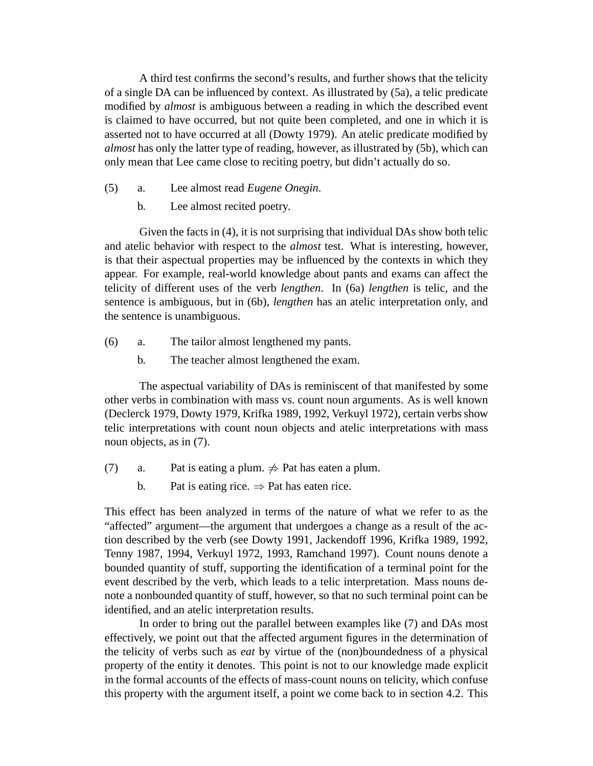A third test confirms the second's results, and further shows that the telicity of a single DA can be influenced by context. As illustrated by (5a), a telic predicate modified by *almost* is ambiguous between a reading in which the described event is claimed to have occurred, but not quite been completed, and one in which it is asserted not to have occurred at all (Dowty 1979). An atelic predicate modified by *almost* has only the latter type of reading, however, as illustrated by (5b), which can only mean that Lee came close to reciting poetry, but didn't actually do so.

- (5) a. Lee almost read *Eugene Onegin*.
	- b. Lee almost recited poetry.

Given the facts in (4), it is not surprising that individual DAs show both telic and atelic behavior with respect to the *almost* test. What is interesting, however, is that their aspectual properties may be influenced by the contexts in which they appear. For example, real-world knowledge about pants and exams can affect the telicity of different uses of the verb *lengthen*. In (6a) *lengthen* is telic, and the sentence is ambiguous, but in (6b), *lengthen* has an atelic interpretation only, and the sentence is unambiguous.

- (6) a. The tailor almost lengthened my pants.
	- b. The teacher almost lengthened the exam.

The aspectual variability of DAs is reminiscent of that manifested by some other verbs in combination with mass vs. count noun arguments. As is well known (Declerck 1979, Dowty 1979, Krifka 1989, 1992, Verkuyl 1972), certain verbs show telic interpretations with count noun objects and atelic interpretations with mass noun objects, as in (7).

- (7) a. Pat is eating a plum.  $\Rightarrow$  Pat has eaten a plum.
	- b. Pat is eating rice.  $\Rightarrow$  Pat has eaten rice.

This effect has been analyzed in terms of the nature of what we refer to as the "affected" argument—the argument that undergoes a change as a result of the action described by the verb (see Dowty 1991, Jackendoff 1996, Krifka 1989, 1992, Tenny 1987, 1994, Verkuyl 1972, 1993, Ramchand 1997). Count nouns denote a bounded quantity of stuff, supporting the identification of a terminal point for the event described by the verb, which leads to a telic interpretation. Mass nouns denote a nonbounded quantity of stuff, however, so that no such terminal point can be identified, and an atelic interpretation results.

In order to bring out the parallel between examples like (7) and DAs most effectively, we point out that the affected argument figures in the determination of the telicity of verbs such as *eat* by virtue of the (non)boundedness of a physical property of the entity it denotes. This point is not to our knowledge made explicit in the formal accounts of the effects of mass-count nouns on telicity, which confuse this property with the argument itself, a point we come back to in section 4.2. This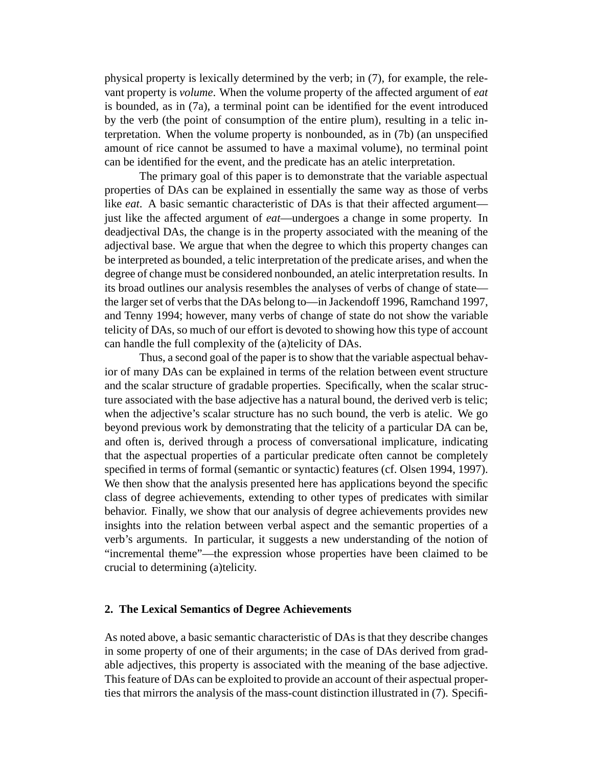physical property is lexically determined by the verb; in (7), for example, the relevant property is *volume*. When the volume property of the affected argument of *eat* is bounded, as in (7a), a terminal point can be identified for the event introduced by the verb (the point of consumption of the entire plum), resulting in a telic interpretation. When the volume property is nonbounded, as in (7b) (an unspecified amount of rice cannot be assumed to have a maximal volume), no terminal point can be identified for the event, and the predicate has an atelic interpretation.

The primary goal of this paper is to demonstrate that the variable aspectual properties of DAs can be explained in essentially the same way as those of verbs like *eat*. A basic semantic characteristic of DAs is that their affected argument just like the affected argument of *eat*—undergoes a change in some property. In deadjectival DAs, the change is in the property associated with the meaning of the adjectival base. We argue that when the degree to which this property changes can be interpreted as bounded, a telic interpretation of the predicate arises, and when the degree of change must be considered nonbounded, an atelic interpretation results. In its broad outlines our analysis resembles the analyses of verbs of change of state the larger set of verbs that the DAs belong to—in Jackendoff 1996, Ramchand 1997, and Tenny 1994; however, many verbs of change of state do not show the variable telicity of DAs, so much of our effort is devoted to showing how this type of account can handle the full complexity of the (a)telicity of DAs.

Thus, a second goal of the paper is to show that the variable aspectual behavior of many DAs can be explained in terms of the relation between event structure and the scalar structure of gradable properties. Specifically, when the scalar structure associated with the base adjective has a natural bound, the derived verb is telic; when the adjective's scalar structure has no such bound, the verb is atelic. We go beyond previous work by demonstrating that the telicity of a particular DA can be, and often is, derived through a process of conversational implicature, indicating that the aspectual properties of a particular predicate often cannot be completely specified in terms of formal (semantic or syntactic) features (cf. Olsen 1994, 1997). We then show that the analysis presented here has applications beyond the specific class of degree achievements, extending to other types of predicates with similar behavior. Finally, we show that our analysis of degree achievements provides new insights into the relation between verbal aspect and the semantic properties of a verb's arguments. In particular, it suggests a new understanding of the notion of "incremental theme"—the expression whose properties have been claimed to be crucial to determining (a)telicity.

#### **2. The Lexical Semantics of Degree Achievements**

As noted above, a basic semantic characteristic of DAs is that they describe changes in some property of one of their arguments; in the case of DAs derived from gradable adjectives, this property is associated with the meaning of the base adjective. This feature of DAs can be exploited to provide an account of their aspectual properties that mirrors the analysis of the mass-count distinction illustrated in (7). Specifi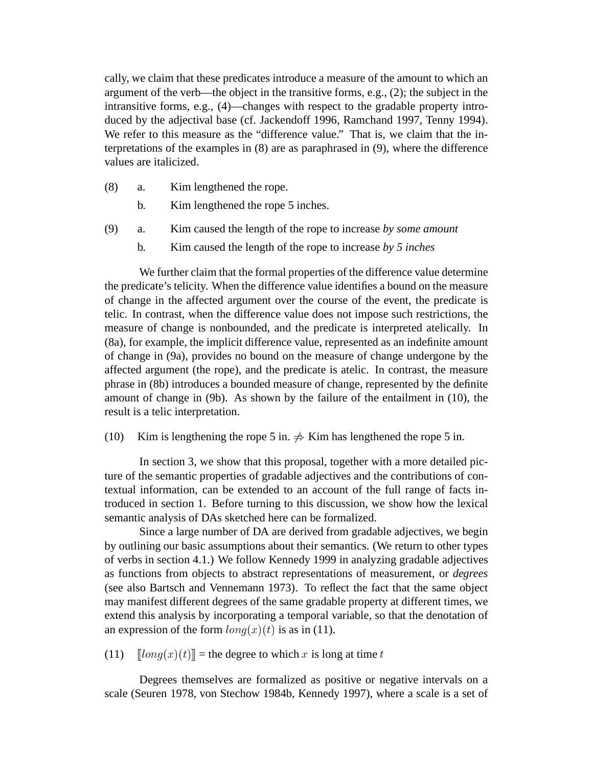cally, we claim that these predicates introduce a measure of the amount to which an argument of the verb—the object in the transitive forms, e.g., (2); the subject in the intransitive forms, e.g., (4)—changes with respect to the gradable property introduced by the adjectival base (cf. Jackendoff 1996, Ramchand 1997, Tenny 1994). We refer to this measure as the "difference value." That is, we claim that the interpretations of the examples in (8) are as paraphrased in (9), where the difference values are italicized.

- (8) a. Kim lengthened the rope.
	- b. Kim lengthened the rope 5 inches.
- (9) a. Kim caused the length of the rope to increase *by some amount*
	- b. Kim caused the length of the rope to increase *by 5 inches*

We further claim that the formal properties of the difference value determine the predicate's telicity. When the difference value identifies a bound on the measure of change in the affected argument over the course of the event, the predicate is telic. In contrast, when the difference value does not impose such restrictions, the measure of change is nonbounded, and the predicate is interpreted atelically. In (8a), for example, the implicit difference value, represented as an indefinite amount of change in (9a), provides no bound on the measure of change undergone by the affected argument (the rope), and the predicate is atelic. In contrast, the measure phrase in (8b) introduces a bounded measure of change, represented by the definite amount of change in (9b). As shown by the failure of the entailment in (10), the result is a telic interpretation.

(10) Kim is lengthening the rope 5 in.  $\Rightarrow$  Kim has lengthened the rope 5 in.

In section 3, we show that this proposal, together with a more detailed picture of the semantic properties of gradable adjectives and the contributions of contextual information, can be extended to an account of the full range of facts introduced in section 1. Before turning to this discussion, we show how the lexical semantic analysis of DAs sketched here can be formalized.

Since a large number of DA are derived from gradable adjectives, we begin by outlining our basic assumptions about their semantics. (We return to other types of verbs in section 4.1.) We follow Kennedy 1999 in analyzing gradable adjectives as functions from objects to abstract representations of measurement, or *degrees* (see also Bartsch and Vennemann 1973). To reflect the fact that the same object may manifest different degrees of the same gradable property at different times, we extend this analysis by incorporating a temporal variable, so that the denotation of an expression of the form  $\ln a(x)(t)$  is as in (11).

(11)  $\left[ \ln q(x)(t) \right] =$  the degree to which x is long at time t

Degrees themselves are formalized as positive or negative intervals on a scale (Seuren 1978, von Stechow 1984b, Kennedy 1997), where a scale is a set of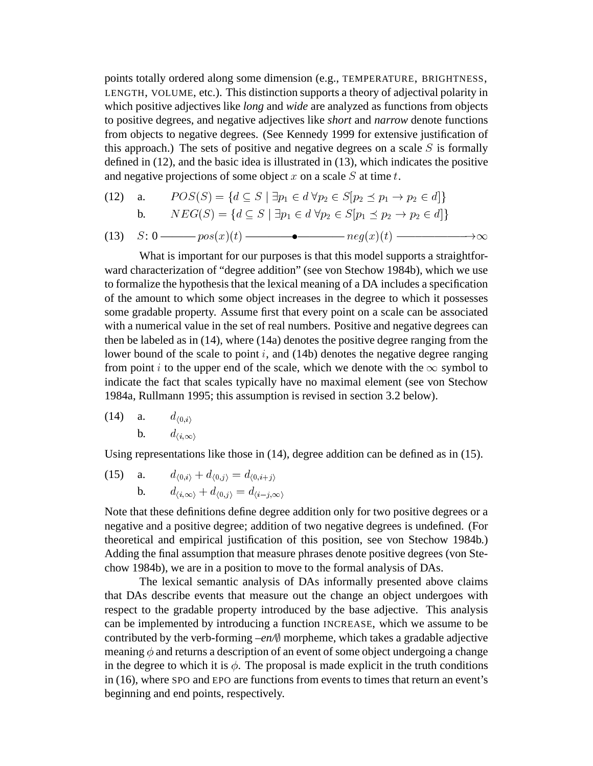points totally ordered along some dimension (e.g., TEMPERATURE, BRIGHTNESS, LENGTH, VOLUME, etc.). This distinction supports a theory of adjectival polarity in which positive adjectives like *long* and *wide* are analyzed as functions from objects to positive degrees, and negative adjectives like *short* and *narrow* denote functions from objects to negative degrees. (See Kennedy 1999 for extensive justification of this approach.) The sets of positive and negative degrees on a scale  $S$  is formally defined in (12), and the basic idea is illustrated in (13), which indicates the positive and negative projections of some object  $x$  on a scale  $S$  at time  $t$ . aching in (12), and the basic idea is must<br>and negative projections of some object x on a scale S at time t.<br>(12) a.  $POS(S) = \{d \subseteq S \mid \exists p_1 \in d \forall p_2 \in S[p_2 \preceq p_1 \rightarrow p_2 \in d]\}$ 

(12) a. 
$$
POS(S) = \{d \subseteq S \mid \exists p_1 \in d \forall p_2 \in S[p_2 \preceq p_1 \rightarrow p_2 \in d]\}
$$
  
b. 
$$
NEG(S) = \{d \subseteq S \mid \exists p_1 \in d \forall p_2 \in S[p_1 \preceq p_2 \rightarrow p_2 \in d]\}
$$

(13) 
$$
S: 0 \longrightarrow pos(x)(t) \longrightarrow \bullet \longrightarrow neg(x)(t) \longrightarrow \infty
$$

What is important for our purposes is that this model supports a straightforward characterization of "degree addition" (see von Stechow 1984b), which we use to formalize the hypothesis that the lexical meaning of a DA includes a specification of the amount to which some object increases in the degree to which it possesses some gradable property. Assume first that every point on a scale can be associated with a numerical value in the set of real numbers. Positive and negative degrees can then be labeled as in (14), where (14a) denotes the positive degree ranging from the lower bound of the scale to point  $i$ , and (14b) denotes the negative degree ranging from point i to the upper end of the scale, which we denote with the  $\infty$  symbol to indicate the fact that scales typically have no maximal element (see von Stechow 1984a, Rullmann 1995; this assumption is revised in section 3.2below).

(14) **a.** 
$$
d_{\langle 0,i\rangle}
$$
  
**b.**  $d_{\langle i,\infty\rangle}$ 

Using representations like those in (14), degree addition can be defined as in (15).

(15) **a.** 
$$
d_{\langle 0,i \rangle} + d_{\langle 0,j \rangle} = d_{\langle 0,i+j \rangle}
$$
  
**b.**  $d_{\langle i,\infty \rangle} + d_{\langle 0,j \rangle} = d_{\langle i-j,\infty \rangle}$ 

Note that these definitions define degree addition only for two positive degrees or a negative and a positive degree; addition of two negative degrees is undefined. (For theoretical and empirical justification of this position, see von Stechow 1984b.) Adding the final assumption that measure phrases denote positive degrees (von Stechow 1984b), we are in a position to move to the formal analysis of DAs.

The lexical semantic analysis of DAs informally presented above claims that DAs describe events that measure out the change an object undergoes with respect to the gradable property introduced by the base adjective. This analysis can be implemented by introducing a function INCREASE, which we assume to be contributed by the verb-forming  $-en\mathcal{N}$  morpheme, which takes a gradable adjective meaning  $\phi$  and returns a description of an event of some object undergoing a change in the degree to which it is  $\phi$ . The proposal is made explicit in the truth conditions in (16), where SPO and EPO are functions from events to times that return an event's beginning and end points, respectively.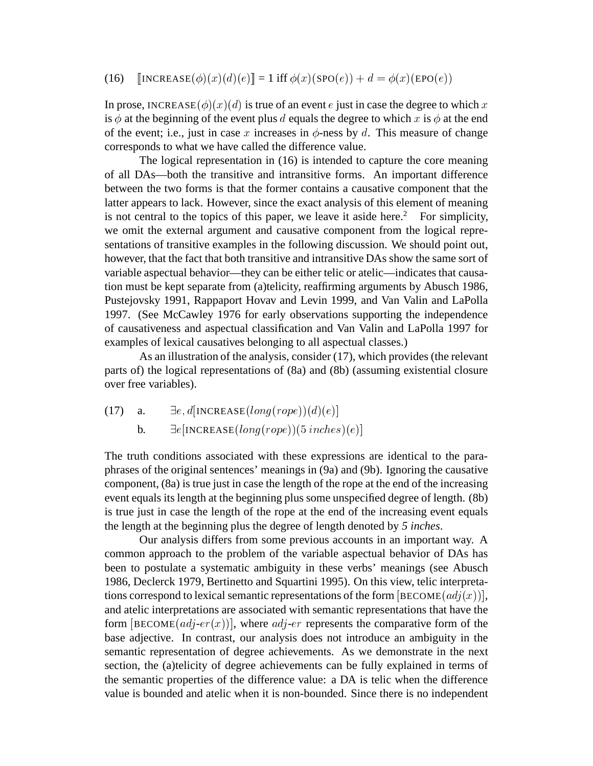#### (16)  $[\text{INCREASE}(\phi)(x)(d)(e)]=1 \text{ iff } \phi(x)(\text{SPO}(e))+d = \phi(x)(\text{EPO}(e))$

In prose, INCREASE  $(\phi)(x)(d)$  is true of an event e just in case the degree to which x is  $\phi$  at the beginning of the event plus d equals the degree to which x is  $\phi$  at the end of the event; i.e., just in case x increases in  $\phi$ -ness by d. This measure of change corresponds to what we have called the difference value.

The logical representation in (16) is intended to capture the core meaning of all DAs—both the transitive and intransitive forms. An important difference between the two forms is that the former contains a causative component that the latter appears to lack. However, since the exact analysis of this element of meaning is not central to the topics of this paper, we leave it aside here.<sup>2</sup> For simplicity, we omit the external argument and causative component from the logical representations of transitive examples in the following discussion. We should point out, however, that the fact that both transitive and intransitive DAs show the same sort of variable aspectual behavior—they can be either telic or atelic—indicates that causation must be kept separate from (a)telicity, reaffirming arguments by Abusch 1986, Pustejovsky 1991, Rappaport Hovav and Levin 1999, and Van Valin and LaPolla 1997. (See McCawley 1976 for early observations supporting the independence of causativeness and aspectual classification and Van Valin and LaPolla 1997 for examples of lexical causatives belonging to all aspectual classes.)

As an illustration of the analysis, consider (17), which provides (the relevant parts of) the logical representations of (8a) and (8b) (assuming existential closure over free variables).

(17) a.  $\exists e, d[INCREASE(long(root)e)](d)(e)]$ 

b.  $\exists e[\text{INCREASE}(long(root))$ (5 inches)(e)]

The truth conditions associated with these expressions are identical to the paraphrases of the original sentences' meanings in (9a) and (9b). Ignoring the causative component, (8a) is true just in case the length of the rope at the end of the increasing event equals its length at the beginning plus some unspecified degree of length. (8b) is true just in case the length of the rope at the end of the increasing event equals the length at the beginning plus the degree of length denoted by *5 inches*.

Our analysis differs from some previous accounts in an important way. A common approach to the problem of the variable aspectual behavior of DAs has been to postulate a systematic ambiguity in these verbs' meanings (see Abusch 1986, Declerck 1979, Bertinetto and Squartini 1995). On this view, telic interpretations correspond to lexical semantic representations of the form  $[BECOME (adj(x))],$ and atelic interpretations are associated with semantic representations that have the form  $[BECOME (adj-er(x))]$ , where  $adj-er$  represents the comparative form of the base adjective. In contrast, our analysis does not introduce an ambiguity in the semantic representation of degree achievements. As we demonstrate in the next section, the (a)telicity of degree achievements can be fully explained in terms of the semantic properties of the difference value: a DA is telic when the difference value is bounded and atelic when it is non-bounded. Since there is no independent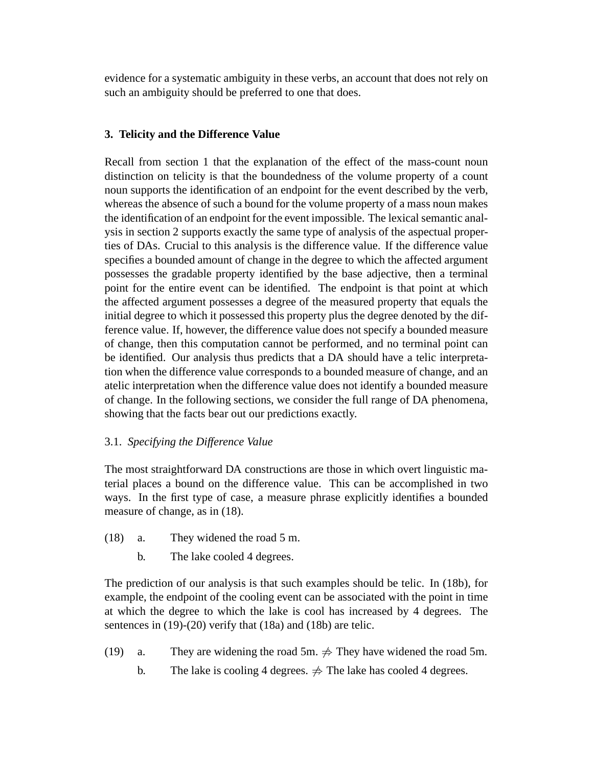evidence for a systematic ambiguity in these verbs, an account that does not rely on such an ambiguity should be preferred to one that does.

# **3. Telicity and the Difference Value**

Recall from section 1 that the explanation of the effect of the mass-count noun distinction on telicity is that the boundedness of the volume property of a count noun supports the identification of an endpoint for the event described by the verb, whereas the absence of such a bound for the volume property of a mass noun makes the identification of an endpoint for the event impossible. The lexical semantic analysis in section 2 supports exactly the same type of analysis of the aspectual properties of DAs. Crucial to this analysis is the difference value. If the difference value specifies a bounded amount of change in the degree to which the affected argument possesses the gradable property identified by the base adjective, then a terminal point for the entire event can be identified. The endpoint is that point at which the affected argument possesses a degree of the measured property that equals the initial degree to which it possessed this property plus the degree denoted by the difference value. If, however, the difference value does not specify a bounded measure of change, then this computation cannot be performed, and no terminal point can be identified. Our analysis thus predicts that a DA should have a telic interpretation when the difference value corresponds to a bounded measure of change, and an atelic interpretation when the difference value does not identify a bounded measure of change. In the following sections, we consider the full range of DA phenomena, showing that the facts bear out our predictions exactly.

### 3.1. *Specifying the Difference Value*

The most straightforward DA constructions are those in which overt linguistic material places a bound on the difference value. This can be accomplished in two ways. In the first type of case, a measure phrase explicitly identifies a bounded measure of change, as in (18).

- (18) a. They widened the road 5 m.
	- b. The lake cooled 4 degrees.

The prediction of our analysis is that such examples should be telic. In (18b), for example, the endpoint of the cooling event can be associated with the point in time at which the degree to which the lake is cool has increased by 4 degrees. The sentences in (19)-(20) verify that (18a) and (18b) are telic.

- (19) a. They are widening the road 5m.  $\Rightarrow$  They have widened the road 5m.
	- b. The lake is cooling 4 degrees.  $\Rightarrow$  The lake has cooled 4 degrees.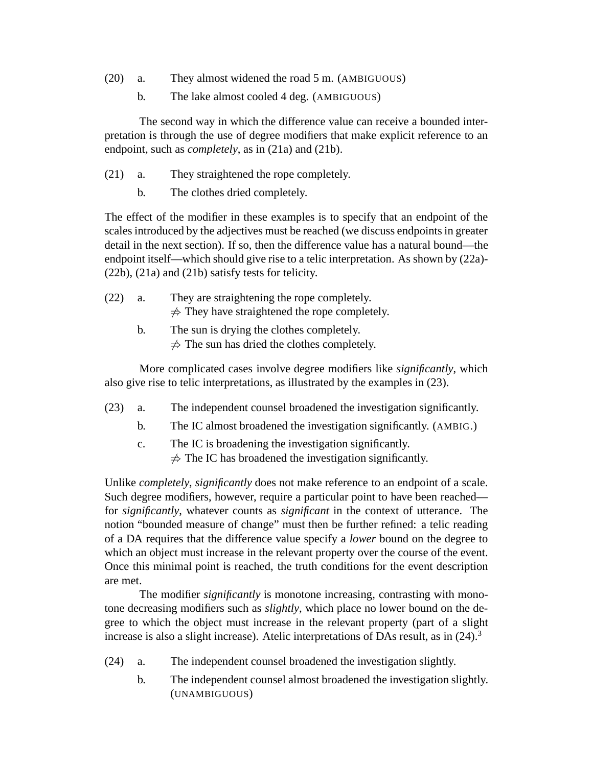- (20) a. They almost widened the road 5 m. (AMBIGUOUS)
	- b. The lake almost cooled 4 deg. (AMBIGUOUS)

The second way in which the difference value can receive a bounded interpretation is through the use of degree modifiers that make explicit reference to an endpoint, such as *completely*, as in (21a) and (21b).

- (21) a. They straightened the rope completely.
	- b. The clothes dried completely.

The effect of the modifier in these examples is to specify that an endpoint of the scales introduced by the adjectives must be reached (we discuss endpoints in greater detail in the next section). If so, then the difference value has a natural bound—the endpoint itself—which should give rise to a telic interpretation. As shown by (22a)- (22b), (21a) and (21b) satisfy tests for telicity.

- (22) a. They are straightening the rope completely.  $\neq$  They have straightened the rope completely.
	- b. The sun is drying the clothes completely.  $\neq$  The sun has dried the clothes completely.

More complicated cases involve degree modifiers like *significantly*, which also give rise to telic interpretations, as illustrated by the examples in (23).

- (23) a. The independent counsel broadened the investigation significantly.
	- b. The IC almost broadened the investigation significantly. (AMBIG.)
	- c. The IC is broadening the investigation significantly.  $\neq$  The IC has broadened the investigation significantly.

Unlike *completely*, *significantly* does not make reference to an endpoint of a scale. Such degree modifiers, however, require a particular point to have been reached for *significantly*, whatever counts as *significant* in the context of utterance. The notion "bounded measure of change" must then be further refined: a telic reading of a DA requires that the difference value specify a *lower* bound on the degree to which an object must increase in the relevant property over the course of the event. Once this minimal point is reached, the truth conditions for the event description are met.

The modifier *significantly* is monotone increasing, contrasting with monotone decreasing modifiers such as *slightly*, which place no lower bound on the degree to which the object must increase in the relevant property (part of a slight increase is also a slight increase). Atelic interpretations of DAs result, as in (24).<sup>3</sup>

- (24) a. The independent counsel broadened the investigation slightly.
	- b. The independent counsel almost broadened the investigation slightly. (UNAMBIGUOUS)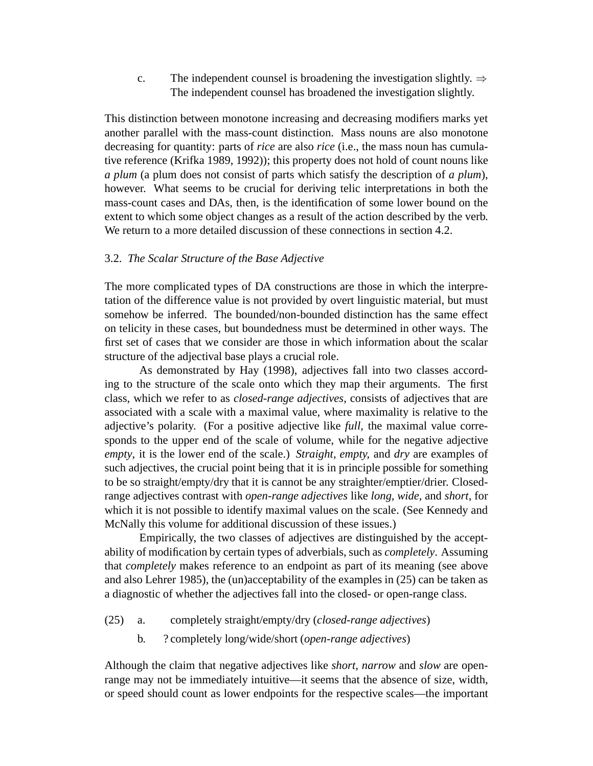c. The independent counsel is broadening the investigation slightly.  $\Rightarrow$ The independent counsel has broadened the investigation slightly.

This distinction between monotone increasing and decreasing modifiers marks yet another parallel with the mass-count distinction. Mass nouns are also monotone decreasing for quantity: parts of *rice* are also *rice* (i.e., the mass noun has cumulative reference (Krifka 1989, 1992)); this property does not hold of count nouns like *a plum* (a plum does not consist of parts which satisfy the description of *a plum*), however. What seems to be crucial for deriving telic interpretations in both the mass-count cases and DAs, then, is the identification of some lower bound on the extent to which some object changes as a result of the action described by the verb. We return to a more detailed discussion of these connections in section 4.2.

#### 3.2. *The Scalar Structure of the Base Adjective*

The more complicated types of DA constructions are those in which the interpretation of the difference value is not provided by overt linguistic material, but must somehow be inferred. The bounded/non-bounded distinction has the same effect on telicity in these cases, but boundedness must be determined in other ways. The first set of cases that we consider are those in which information about the scalar structure of the adjectival base plays a crucial role.

As demonstrated by Hay (1998), adjectives fall into two classes according to the structure of the scale onto which they map their arguments. The first class, which we refer to as *closed-range adjectives*, consists of adjectives that are associated with a scale with a maximal value, where maximality is relative to the adjective's polarity. (For a positive adjective like *full*, the maximal value corresponds to the upper end of the scale of volume, while for the negative adjective *empty*, it is the lower end of the scale.) *Straight, empty,* and *dry* are examples of such adjectives, the crucial point being that it is in principle possible for something to be so straight/empty/dry that it is cannot be any straighter/emptier/drier. Closedrange adjectives contrast with *open-range adjectives* like *long, wide,* and *short*, for which it is not possible to identify maximal values on the scale. (See Kennedy and McNally this volume for additional discussion of these issues.)

Empirically, the two classes of adjectives are distinguished by the acceptability of modification by certain types of adverbials, such as *completely*. Assuming that *completely* makes reference to an endpoint as part of its meaning (see above and also Lehrer 1985), the (un)acceptability of the examples in (25) can be taken as a diagnostic of whether the adjectives fall into the closed- or open-range class.

- (25) a. completely straight/empty/dry (*closed-range adjectives*)
	- b. ? completely long/wide/short (*open-range adjectives*)

Although the claim that negative adjectives like *short, narrow* and *slow* are openrange may not be immediately intuitive—it seems that the absence of size, width, or speed should count as lower endpoints for the respective scales—the important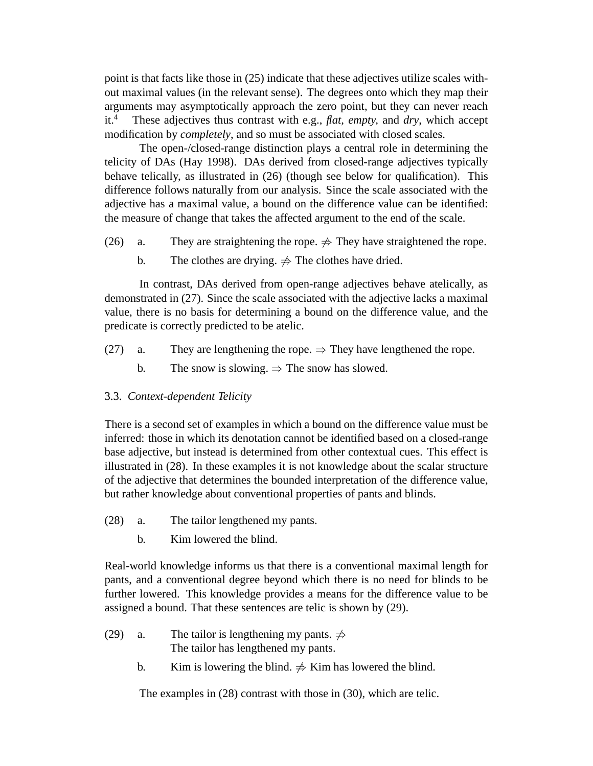point is that facts like those in (25) indicate that these adjectives utilize scales without maximal values (in the relevant sense). The degrees onto which they map their arguments may asymptotically approach the zero point, but they can never reach it.<sup>4</sup> These adjectives thus contrast with e.g., *flat, empty,* and *dry*, which accept modification by *completely*, and so must be associated with closed scales.

The open-/closed-range distinction plays a central role in determining the telicity of DAs (Hay 1998). DAs derived from closed-range adjectives typically behave telically, as illustrated in (26) (though see below for qualification). This difference follows naturally from our analysis. Since the scale associated with the adjective has a maximal value, a bound on the difference value can be identified: the measure of change that takes the affected argument to the end of the scale.

- (26) a. They are straightening the rope.  $\Rightarrow$  They have straightened the rope.
	- b. The clothes are drying.  $\Rightarrow$  The clothes have dried.

In contrast, DAs derived from open-range adjectives behave atelically, as demonstrated in (27). Since the scale associated with the adjective lacks a maximal value, there is no basis for determining a bound on the difference value, and the predicate is correctly predicted to be atelic.

- (27) a. They are lengthening the rope.  $\Rightarrow$  They have lengthened the rope.
	- b. The snow is slowing.  $\Rightarrow$  The snow has slowed.

# 3.3. *Context-dependent Telicity*

There is a second set of examples in which a bound on the difference value must be inferred: those in which its denotation cannot be identified based on a closed-range base adjective, but instead is determined from other contextual cues. This effect is illustrated in (28). In these examples it is not knowledge about the scalar structure of the adjective that determines the bounded interpretation of the difference value, but rather knowledge about conventional properties of pants and blinds.

- (28) a. The tailor lengthened my pants.
	- b. Kim lowered the blind.

Real-world knowledge informs us that there is a conventional maximal length for pants, and a conventional degree beyond which there is no need for blinds to be further lowered. This knowledge provides a means for the difference value to be assigned a bound. That these sentences are telic is shown by (29).

- (29) a. The tailor is lengthening my pants.  $\Rightarrow$ The tailor has lengthened my pants.
	- b. Kim is lowering the blind.  $\Rightarrow$  Kim has lowered the blind.

The examples in (28) contrast with those in (30), which are telic.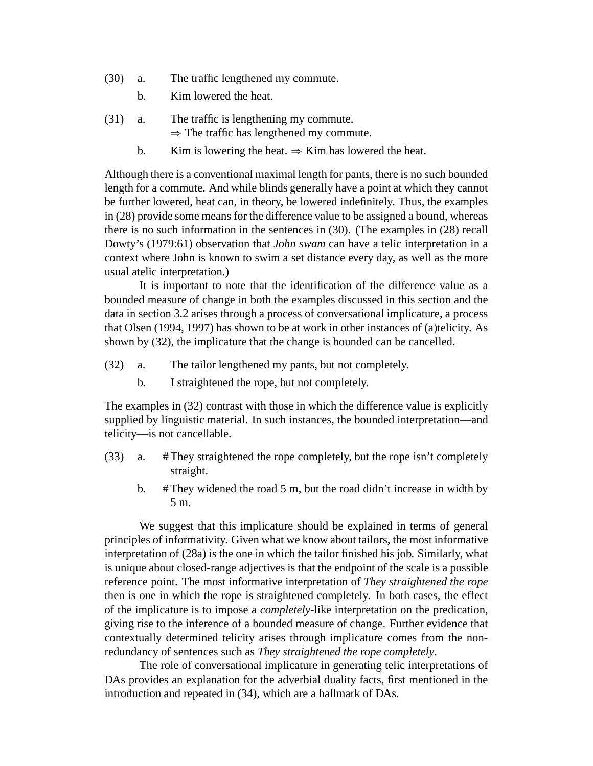- (30) a. The traffic lengthened my commute.
	- b. Kim lowered the heat.
- (31) a. The traffic is lengthening my commute.  $\Rightarrow$  The traffic has lengthened my commute.
	- b. Kim is lowering the heat.  $\Rightarrow$  Kim has lowered the heat.

Although there is a conventional maximal length for pants, there is no such bounded length for a commute. And while blinds generally have a point at which they cannot be further lowered, heat can, in theory, be lowered indefinitely. Thus, the examples in (28) provide some means for the difference value to be assigned a bound, whereas there is no such information in the sentences in (30). (The examples in (28) recall Dowty's (1979:61) observation that *John swam* can have a telic interpretation in a context where John is known to swim a set distance every day, as well as the more usual atelic interpretation.)

It is important to note that the identification of the difference value as a bounded measure of change in both the examples discussed in this section and the data in section 3.2 arises through a process of conversational implicature, a process that Olsen (1994, 1997) has shown to be at work in other instances of (a)telicity. As shown by (32), the implicature that the change is bounded can be cancelled.

- (32) a. The tailor lengthened my pants, but not completely.
	- b. I straightened the rope, but not completely.

The examples in (32) contrast with those in which the difference value is explicitly supplied by linguistic material. In such instances, the bounded interpretation—and telicity—is not cancellable.

- (33) a. # They straightened the rope completely, but the rope isn't completely straight.
	- b.  $\#$ They widened the road 5 m, but the road didn't increase in width by 5 m.

We suggest that this implicature should be explained in terms of general principles of informativity. Given what we know about tailors, the most informative interpretation of (28a) is the one in which the tailor finished his job. Similarly, what is unique about closed-range adjectives is that the endpoint of the scale is a possible reference point. The most informative interpretation of *They straightened the rope* then is one in which the rope is straightened completely. In both cases, the effect of the implicature is to impose a *completely*-like interpretation on the predication, giving rise to the inference of a bounded measure of change. Further evidence that contextually determined telicity arises through implicature comes from the nonredundancy of sentences such as *They straightened the rope completely*.

The role of conversational implicature in generating telic interpretations of DAs provides an explanation for the adverbial duality facts, first mentioned in the introduction and repeated in (34), which are a hallmark of DAs.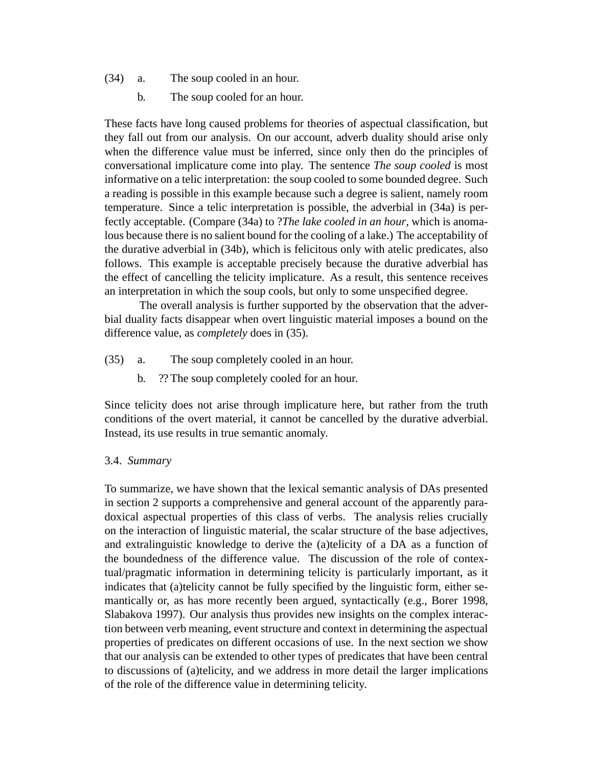- (34) a. The soup cooled in an hour.
	- b. The soup cooled for an hour.

These facts have long caused problems for theories of aspectual classification, but they fall out from our analysis. On our account, adverb duality should arise only when the difference value must be inferred, since only then do the principles of conversational implicature come into play. The sentence *The soup cooled* is most informative on a telic interpretation: the soup cooled to some bounded degree. Such a reading is possible in this example because such a degree is salient, namely room temperature. Since a telic interpretation is possible, the adverbial in (34a) is perfectly acceptable. (Compare (34a) to ?*The lake cooled in an hour*, which is anomalous because there is no salient bound for the cooling of a lake.) The acceptability of the durative adverbial in (34b), which is felicitous only with atelic predicates, also follows. This example is acceptable precisely because the durative adverbial has the effect of cancelling the telicity implicature. As a result, this sentence receives an interpretation in which the soup cools, but only to some unspecified degree.

The overall analysis is further supported by the observation that the adverbial duality facts disappear when overt linguistic material imposes a bound on the difference value, as *completely* does in (35).

- (35) a. The soup completely cooled in an hour.
	- b. ?? The soup completely cooled for an hour.

Since telicity does not arise through implicature here, but rather from the truth conditions of the overt material, it cannot be cancelled by the durative adverbial. Instead, its use results in true semantic anomaly.

### 3.4. *Summary*

To summarize, we have shown that the lexical semantic analysis of DAs presented in section 2 supports a comprehensive and general account of the apparently paradoxical aspectual properties of this class of verbs. The analysis relies crucially on the interaction of linguistic material, the scalar structure of the base adjectives, and extralinguistic knowledge to derive the (a)telicity of a DA as a function of the boundedness of the difference value. The discussion of the role of contextual/pragmatic information in determining telicity is particularly important, as it indicates that (a)telicity cannot be fully specified by the linguistic form, either semantically or, as has more recently been argued, syntactically (e.g., Borer 1998, Slabakova 1997). Our analysis thus provides new insights on the complex interaction between verb meaning, event structure and context in determining the aspectual properties of predicates on different occasions of use. In the next section we show that our analysis can be extended to other types of predicates that have been central to discussions of (a)telicity, and we address in more detail the larger implications of the role of the difference value in determining telicity.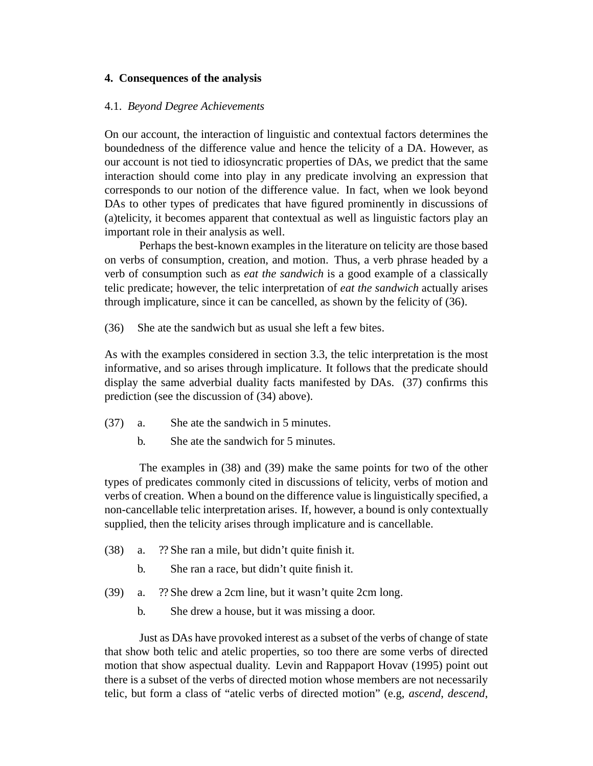# **4. Consequences of the analysis**

#### 4.1. *Beyond Degree Achievements*

On our account, the interaction of linguistic and contextual factors determines the boundedness of the difference value and hence the telicity of a DA. However, as our account is not tied to idiosyncratic properties of DAs, we predict that the same interaction should come into play in any predicate involving an expression that corresponds to our notion of the difference value. In fact, when we look beyond DAs to other types of predicates that have figured prominently in discussions of (a)telicity, it becomes apparent that contextual as well as linguistic factors play an important role in their analysis as well.

Perhaps the best-known examples in the literature on telicity are those based on verbs of consumption, creation, and motion. Thus, a verb phrase headed by a verb of consumption such as *eat the sandwich* is a good example of a classically telic predicate; however, the telic interpretation of *eat the sandwich* actually arises through implicature, since it can be cancelled, as shown by the felicity of (36).

(36) She ate the sandwich but as usual she left a few bites.

As with the examples considered in section 3.3, the telic interpretation is the most informative, and so arises through implicature. It follows that the predicate should display the same adverbial duality facts manifested by DAs. (37) confirms this prediction (see the discussion of (34) above).

- (37) a. She ate the sandwich in 5 minutes.
	- b. She ate the sandwich for 5 minutes.

The examples in (38) and (39) make the same points for two of the other types of predicates commonly cited in discussions of telicity, verbs of motion and verbs of creation. When a bound on the difference value is linguistically specified, a non-cancellable telic interpretation arises. If, however, a bound is only contextually supplied, then the telicity arises through implicature and is cancellable.

- (38) a. ?? She ran a mile, but didn't quite finish it.
	- b. She ran a race, but didn't quite finish it.
- (39) a. ?? She drew a 2cm line, but it wasn't quite 2cm long.
	- b. She drew a house, but it was missing a door.

Just as DAs have provoked interest as a subset of the verbs of change of state that show both telic and atelic properties, so too there are some verbs of directed motion that show aspectual duality. Levin and Rappaport Hovav (1995) point out there is a subset of the verbs of directed motion whose members are not necessarily telic, but form a class of "atelic verbs of directed motion" (e.g, *ascend*, *descend*,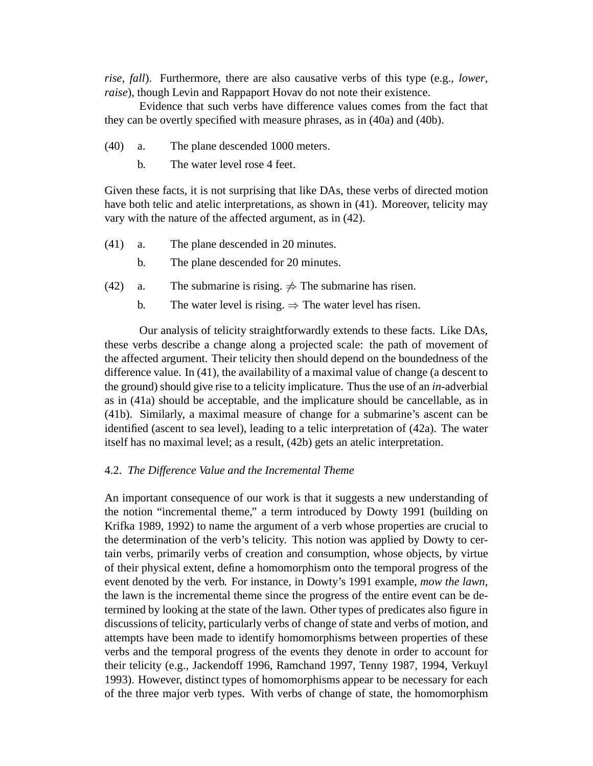*rise*, *fall*). Furthermore, there are also causative verbs of this type (e.g., *lower*, *raise*), though Levin and Rappaport Hovav do not note their existence.

Evidence that such verbs have difference values comes from the fact that they can be overtly specified with measure phrases, as in (40a) and (40b).

- (40) a. The plane descended 1000 meters.
	- b. The water level rose 4 feet.

Given these facts, it is not surprising that like DAs, these verbs of directed motion have both telic and atelic interpretations, as shown in (41). Moreover, telicity may vary with the nature of the affected argument, as in (42).

- (41) a. The plane descended in 20 minutes.
	- b. The plane descended for 20 minutes.
- (42) a. The submarine is rising.  $\neq$  The submarine has risen.
	- b. The water level is rising.  $\Rightarrow$  The water level has risen.

Our analysis of telicity straightforwardly extends to these facts. Like DAs, these verbs describe a change along a projected scale: the path of movement of the affected argument. Their telicity then should depend on the boundedness of the difference value. In (41), the availability of a maximal value of change (a descent to the ground) should give rise to a telicity implicature. Thus the use of an *in*-adverbial as in (41a) should be acceptable, and the implicature should be cancellable, as in (41b). Similarly, a maximal measure of change for a submarine's ascent can be identified (ascent to sea level), leading to a telic interpretation of (42a). The water itself has no maximal level; as a result, (42b) gets an atelic interpretation.

#### 4.2. *The Difference Value and the Incremental Theme*

An important consequence of our work is that it suggests a new understanding of the notion "incremental theme," a term introduced by Dowty 1991 (building on Krifka 1989, 1992) to name the argument of a verb whose properties are crucial to the determination of the verb's telicity. This notion was applied by Dowty to certain verbs, primarily verbs of creation and consumption, whose objects, by virtue of their physical extent, define a homomorphism onto the temporal progress of the event denoted by the verb. For instance, in Dowty's 1991 example, *mow the lawn*, the lawn is the incremental theme since the progress of the entire event can be determined by looking at the state of the lawn. Other types of predicates also figure in discussions of telicity, particularly verbs of change of state and verbs of motion, and attempts have been made to identify homomorphisms between properties of these verbs and the temporal progress of the events they denote in order to account for their telicity (e.g., Jackendoff 1996, Ramchand 1997, Tenny 1987, 1994, Verkuyl 1993). However, distinct types of homomorphisms appear to be necessary for each of the three major verb types. With verbs of change of state, the homomorphism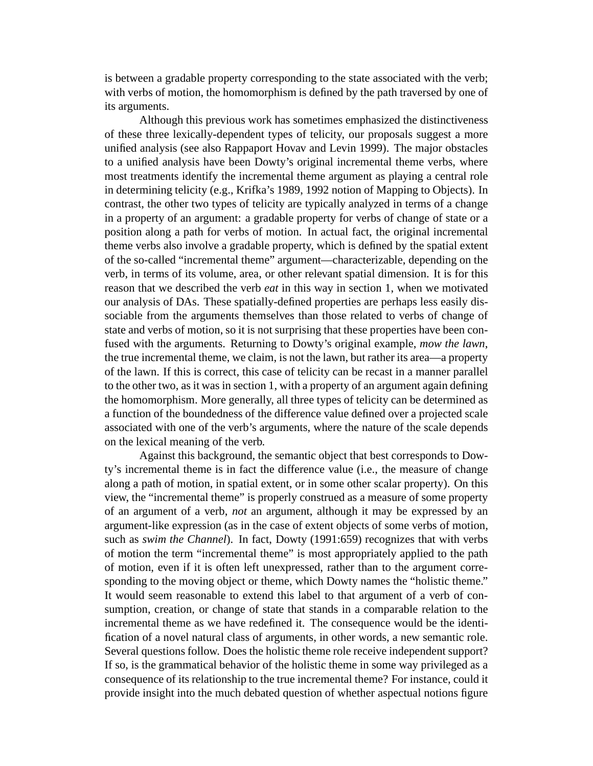is between a gradable property corresponding to the state associated with the verb; with verbs of motion, the homomorphism is defined by the path traversed by one of its arguments.

Although this previous work has sometimes emphasized the distinctiveness of these three lexically-dependent types of telicity, our proposals suggest a more unified analysis (see also Rappaport Hovav and Levin 1999). The major obstacles to a unified analysis have been Dowty's original incremental theme verbs, where most treatments identify the incremental theme argument as playing a central role in determining telicity (e.g., Krifka's 1989, 1992 notion of Mapping to Objects). In contrast, the other two types of telicity are typically analyzed in terms of a change in a property of an argument: a gradable property for verbs of change of state or a position along a path for verbs of motion. In actual fact, the original incremental theme verbs also involve a gradable property, which is defined by the spatial extent of the so-called "incremental theme" argument—characterizable, depending on the verb, in terms of its volume, area, or other relevant spatial dimension. It is for this reason that we described the verb *eat* in this way in section 1, when we motivated our analysis of DAs. These spatially-defined properties are perhaps less easily dissociable from the arguments themselves than those related to verbs of change of state and verbs of motion, so it is not surprising that these properties have been confused with the arguments. Returning to Dowty's original example, *mow the lawn*, the true incremental theme, we claim, is not the lawn, but rather its area—a property of the lawn. If this is correct, this case of telicity can be recast in a manner parallel to the other two, as it was in section 1, with a property of an argument again defining the homomorphism. More generally, all three types of telicity can be determined as a function of the boundedness of the difference value defined over a projected scale associated with one of the verb's arguments, where the nature of the scale depends on the lexical meaning of the verb.

Against this background, the semantic object that best corresponds to Dowty's incremental theme is in fact the difference value (i.e., the measure of change along a path of motion, in spatial extent, or in some other scalar property). On this view, the "incremental theme" is properly construed as a measure of some property of an argument of a verb, *not* an argument, although it may be expressed by an argument-like expression (as in the case of extent objects of some verbs of motion, such as *swim the Channel*). In fact, Dowty (1991:659) recognizes that with verbs of motion the term "incremental theme" is most appropriately applied to the path of motion, even if it is often left unexpressed, rather than to the argument corresponding to the moving object or theme, which Dowty names the "holistic theme." It would seem reasonable to extend this label to that argument of a verb of consumption, creation, or change of state that stands in a comparable relation to the incremental theme as we have redefined it. The consequence would be the identification of a novel natural class of arguments, in other words, a new semantic role. Several questions follow. Does the holistic theme role receive independent support? If so, is the grammatical behavior of the holistic theme in some way privileged as a consequence of its relationship to the true incremental theme? For instance, could it provide insight into the much debated question of whether aspectual notions figure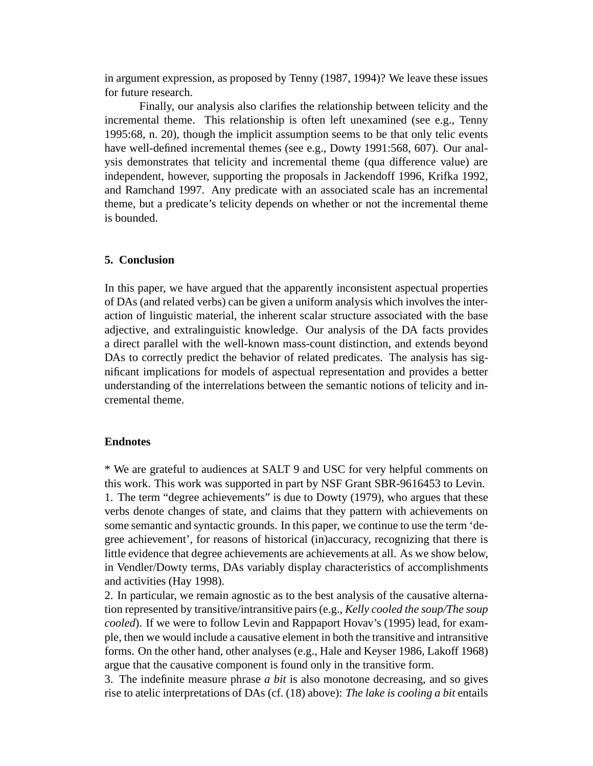in argument expression, as proposed by Tenny (1987, 1994)? We leave these issues for future research.

Finally, our analysis also clarifies the relationship between telicity and the incremental theme. This relationship is often left unexamined (see e.g., Tenny 1995:68, n. 20), though the implicit assumption seems to be that only telic events have well-defined incremental themes (see e.g., Dowty 1991:568, 607). Our analysis demonstrates that telicity and incremental theme (qua difference value) are independent, however, supporting the proposals in Jackendoff 1996, Krifka 1992, and Ramchand 1997. Any predicate with an associated scale has an incremental theme, but a predicate's telicity depends on whether or not the incremental theme is bounded.

# **5. Conclusion**

In this paper, we have argued that the apparently inconsistent aspectual properties of DAs (and related verbs) can be given a uniform analysis which involves the interaction of linguistic material, the inherent scalar structure associated with the base adjective, and extralinguistic knowledge. Our analysis of the DA facts provides a direct parallel with the well-known mass-count distinction, and extends beyond DAs to correctly predict the behavior of related predicates. The analysis has significant implications for models of aspectual representation and provides a better understanding of the interrelations between the semantic notions of telicity and incremental theme.

# **Endnotes**

\* We are grateful to audiences at SALT 9 and USC for very helpful comments on this work. This work was supported in part by NSF Grant SBR-9616453 to Levin. 1. The term "degree achievements" is due to Dowty (1979), who argues that these verbs denote changes of state, and claims that they pattern with achievements on some semantic and syntactic grounds. In this paper, we continue to use the term 'degree achievement', for reasons of historical (in)accuracy, recognizing that there is little evidence that degree achievements are achievements at all. As we show below, in Vendler/Dowty terms, DAs variably display characteristics of accomplishments and activities (Hay 1998).

2. In particular, we remain agnostic as to the best analysis of the causative alternation represented by transitive/intransitive pairs (e.g., *Kelly cooled the soup/The soup cooled*). If we were to follow Levin and Rappaport Hovav's (1995) lead, for example, then we would include a causative element in both the transitive and intransitive forms. On the other hand, other analyses (e.g., Hale and Keyser 1986, Lakoff 1968) argue that the causative component is found only in the transitive form.

3. The indefinite measure phrase *a bit* is also monotone decreasing, and so gives rise to atelic interpretations of DAs (cf. (18) above): *The lake is cooling a bit* entails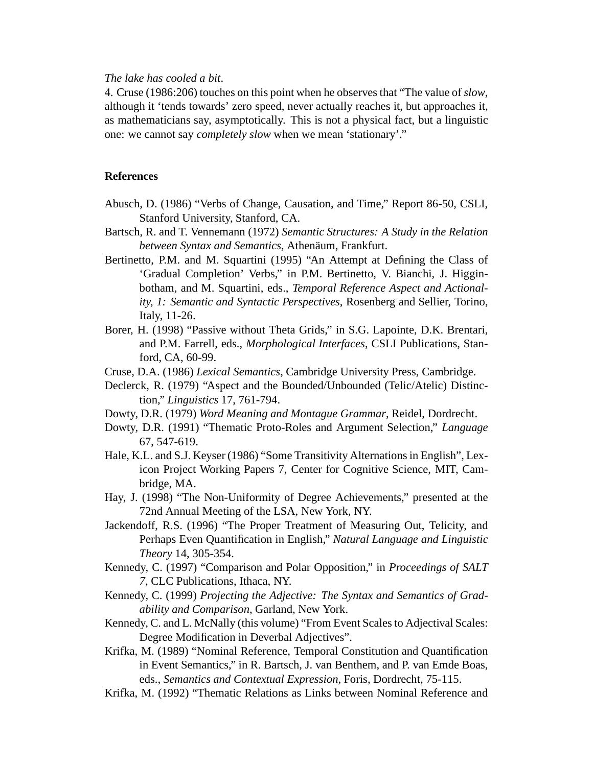#### *The lake has cooled a bit*.

4. Cruse (1986:206) touches on this point when he observes that "The value of *slow*, although it 'tends towards' zero speed, never actually reaches it, but approaches it, as mathematicians say, asymptotically. This is not a physical fact, but a linguistic one: we cannot say *completely slow* when we mean 'stationary'."

#### **References**

- Abusch, D. (1986) "Verbs of Change, Causation, and Time," Report 86-50, CSLI, Stanford University, Stanford, CA.
- Bartsch, R. and T. Vennemann (1972) *Semantic Structures: A Study in the Relation between Syntax and Semantics*, Athenäum, Frankfurt.
- Bertinetto, P.M. and M. Squartini (1995) "An Attempt at Defining the Class of 'Gradual Completion' Verbs," in P.M. Bertinetto, V. Bianchi, J. Higginbotham, and M. Squartini, eds., *Temporal Reference Aspect and Actionality, 1: Semantic and Syntactic Perspectives*, Rosenberg and Sellier, Torino, Italy, 11-26.
- Borer, H. (1998) "Passive without Theta Grids," in S.G. Lapointe, D.K. Brentari, and P.M. Farrell, eds., *Morphological Interfaces*, CSLI Publications, Stanford, CA, 60-99.
- Cruse, D.A. (1986) *Lexical Semantics*, Cambridge University Press, Cambridge.
- Declerck, R. (1979) "Aspect and the Bounded/Unbounded (Telic/Atelic) Distinction," *Linguistics* 17, 761-794.
- Dowty, D.R. (1979) *Word Meaning and Montague Grammar*, Reidel, Dordrecht.
- Dowty, D.R. (1991) "Thematic Proto-Roles and Argument Selection," *Language* 67, 547-619.
- Hale, K.L. and S.J. Keyser (1986) "Some Transitivity Alternations in English", Lexicon Project Working Papers 7, Center for Cognitive Science, MIT, Cambridge, MA.
- Hay, J. (1998) "The Non-Uniformity of Degree Achievements," presented at the 72nd Annual Meeting of the LSA, New York, NY.
- Jackendoff, R.S. (1996) "The Proper Treatment of Measuring Out, Telicity, and Perhaps Even Quantification in English," *Natural Language and Linguistic Theory* 14, 305-354.
- Kennedy, C. (1997) "Comparison and Polar Opposition," in *Proceedings of SALT 7*, CLC Publications, Ithaca, NY.
- Kennedy, C. (1999) *Projecting the Adjective: The Syntax and Semantics of Gradability and Comparison*, Garland, New York.
- Kennedy, C. and L. McNally (this volume) "From Event Scales to Adjectival Scales: Degree Modification in Deverbal Adjectives".
- Krifka, M. (1989) "Nominal Reference, Temporal Constitution and Quantification in Event Semantics," in R. Bartsch, J. van Benthem, and P. van Emde Boas, eds., *Semantics and Contextual Expression*, Foris, Dordrecht, 75-115.
- Krifka, M. (1992) "Thematic Relations as Links between Nominal Reference and